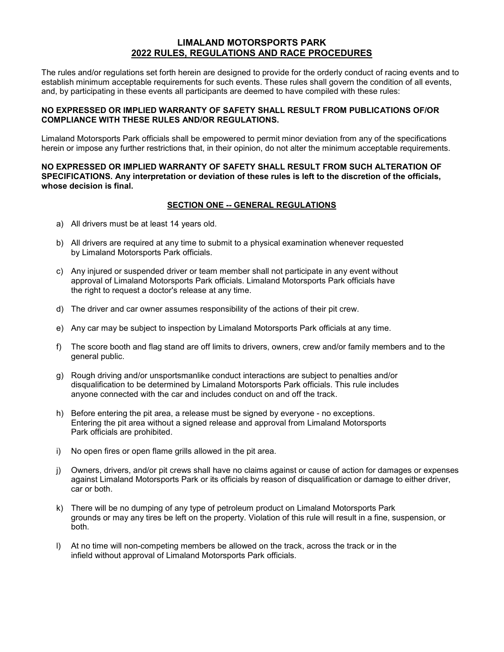# **LIMALAND MOTORSPORTS PARK 2022 RULES, REGULATIONS AND RACE PROCEDURES**

The rules and/or regulations set forth herein are designed to provide for the orderly conduct of racing events and to establish minimum acceptable requirements for such events. These rules shall govern the condition of all events, and, by participating in these events all participants are deemed to have compiled with these rules:

## **NO EXPRESSED OR IMPLIED WARRANTY OF SAFETY SHALL RESULT FROM PUBLICATIONS OF/OR COMPLIANCE WITH THESE RULES AND/OR REGULATIONS.**

Limaland Motorsports Park officials shall be empowered to permit minor deviation from any of the specifications herein or impose any further restrictions that, in their opinion, do not alter the minimum acceptable requirements.

### **NO EXPRESSED OR IMPLIED WARRANTY OF SAFETY SHALL RESULT FROM SUCH ALTERATION OF SPECIFICATIONS. Any interpretation or deviation of these rules is left to the discretion of the officials, whose decision is final.**

## **SECTION ONE -- GENERAL REGULATIONS**

- a) All drivers must be at least 14 years old.
- b) All drivers are required at any time to submit to a physical examination whenever requested by Limaland Motorsports Park officials.
- c) Any injured or suspended driver or team member shall not participate in any event without approval of Limaland Motorsports Park officials. Limaland Motorsports Park officials have the right to request a doctor's release at any time.
- d) The driver and car owner assumes responsibility of the actions of their pit crew.
- e) Any car may be subject to inspection by Limaland Motorsports Park officials at any time.
- f) The score booth and flag stand are off limits to drivers, owners, crew and/or family members and to the general public.
- g) Rough driving and/or unsportsmanlike conduct interactions are subject to penalties and/or disqualification to be determined by Limaland Motorsports Park officials. This rule includes anyone connected with the car and includes conduct on and off the track.
- h) Before entering the pit area, a release must be signed by everyone no exceptions. Entering the pit area without a signed release and approval from Limaland Motorsports Park officials are prohibited.
- i) No open fires or open flame grills allowed in the pit area.
- j) Owners, drivers, and/or pit crews shall have no claims against or cause of action for damages or expenses against Limaland Motorsports Park or its officials by reason of disqualification or damage to either driver, car or both.
- k) There will be no dumping of any type of petroleum product on Limaland Motorsports Park grounds or may any tires be left on the property. Violation of this rule will result in a fine, suspension, or both.
- l) At no time will non-competing members be allowed on the track, across the track or in the infield without approval of Limaland Motorsports Park officials.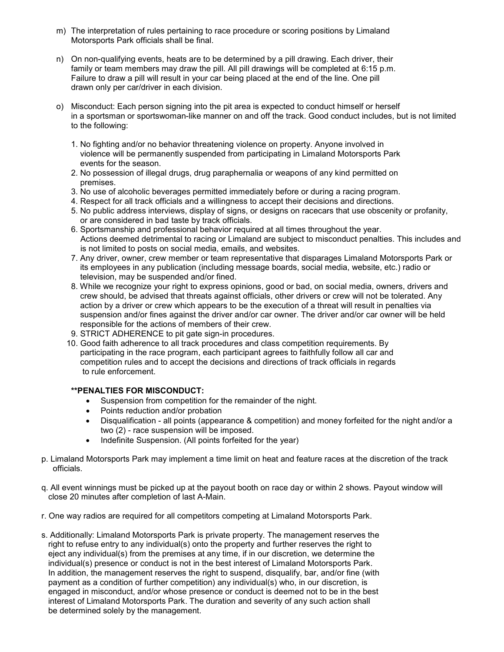- m) The interpretation of rules pertaining to race procedure or scoring positions by Limaland Motorsports Park officials shall be final.
- n) On non-qualifying events, heats are to be determined by a pill drawing. Each driver, their family or team members may draw the pill. All pill drawings will be completed at 6:15 p.m. Failure to draw a pill will result in your car being placed at the end of the line. One pill drawn only per car/driver in each division.
- o) Misconduct: Each person signing into the pit area is expected to conduct himself or herself in a sportsman or sportswoman-like manner on and off the track. Good conduct includes, but is not limited to the following:
	- 1. No fighting and/or no behavior threatening violence on property. Anyone involved in violence will be permanently suspended from participating in Limaland Motorsports Park events for the season.
	- 2. No possession of illegal drugs, drug paraphernalia or weapons of any kind permitted on premises.
	- 3. No use of alcoholic beverages permitted immediately before or during a racing program.
	- 4. Respect for all track officials and a willingness to accept their decisions and directions.
	- 5. No public address interviews, display of signs, or designs on racecars that use obscenity or profanity, or are considered in bad taste by track officials.
	- 6. Sportsmanship and professional behavior required at all times throughout the year. Actions deemed detrimental to racing or Limaland are subject to misconduct penalties. This includes and is not limited to posts on social media, emails, and websites.
	- 7. Any driver, owner, crew member or team representative that disparages Limaland Motorsports Park or its employees in any publication (including message boards, social media, website, etc.) radio or television, may be suspended and/or fined.
	- 8. While we recognize your right to express opinions, good or bad, on social media, owners, drivers and crew should, be advised that threats against officials, other drivers or crew will not be tolerated. Any action by a driver or crew which appears to be the execution of a threat will result in penalties via suspension and/or fines against the driver and/or car owner. The driver and/or car owner will be held responsible for the actions of members of their crew.
	- 9. STRICT ADHERENCE to pit gate sign-in procedures.
	- 10. Good faith adherence to all track procedures and class competition requirements. By participating in the race program, each participant agrees to faithfully follow all car and competition rules and to accept the decisions and directions of track officials in regards to rule enforcement.

## **\*\*PENALTIES FOR MISCONDUCT:**

- Suspension from competition for the remainder of the night.
- Points reduction and/or probation
- Disqualification all points (appearance & competition) and money forfeited for the night and/or a two (2) - race suspension will be imposed.
- Indefinite Suspension. (All points forfeited for the year)
- p. Limaland Motorsports Park may implement a time limit on heat and feature races at the discretion of the track officials.
- q. All event winnings must be picked up at the payout booth on race day or within 2 shows. Payout window will close 20 minutes after completion of last A-Main.
- r. One way radios are required for all competitors competing at Limaland Motorsports Park.
- s. Additionally: Limaland Motorsports Park is private property. The management reserves the right to refuse entry to any individual(s) onto the property and further reserves the right to eject any individual(s) from the premises at any time, if in our discretion, we determine the individual(s) presence or conduct is not in the best interest of Limaland Motorsports Park. In addition, the management reserves the right to suspend, disqualify, bar, and/or fine (with payment as a condition of further competition) any individual(s) who, in our discretion, is engaged in misconduct, and/or whose presence or conduct is deemed not to be in the best interest of Limaland Motorsports Park. The duration and severity of any such action shall be determined solely by the management.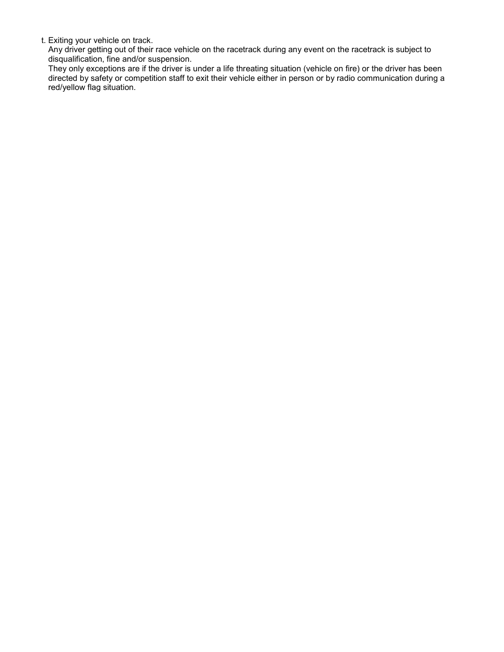t. Exiting your vehicle on track.

Any driver getting out of their race vehicle on the racetrack during any event on the racetrack is subject to disqualification, fine and/or suspension.

They only exceptions are if the driver is under a life threating situation (vehicle on fire) or the driver has been directed by safety or competition staff to exit their vehicle either in person or by radio communication during a red/yellow flag situation.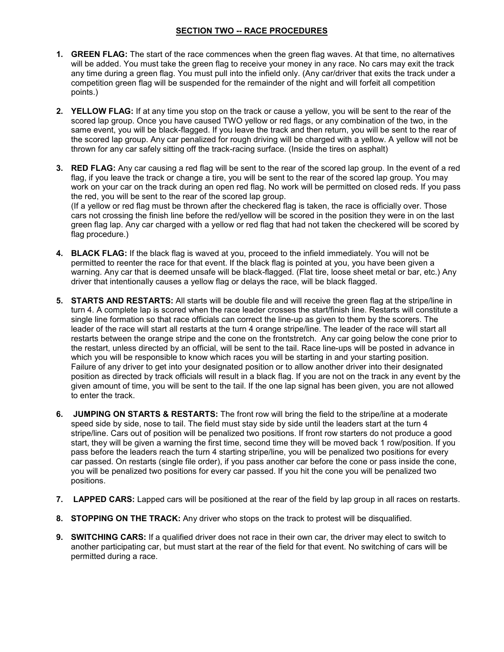# **SECTION TWO -- RACE PROCEDURES**

- **1. GREEN FLAG:** The start of the race commences when the green flag waves. At that time, no alternatives will be added. You must take the green flag to receive your money in any race. No cars may exit the track any time during a green flag. You must pull into the infield only. (Any car/driver that exits the track under a competition green flag will be suspended for the remainder of the night and will forfeit all competition points.)
- **2. YELLOW FLAG:** If at any time you stop on the track or cause a yellow, you will be sent to the rear of the scored lap group. Once you have caused TWO yellow or red flags, or any combination of the two, in the same event, you will be black-flagged. If you leave the track and then return, you will be sent to the rear of the scored lap group. Any car penalized for rough driving will be charged with a yellow. A yellow will not be thrown for any car safely sitting off the track-racing surface. (Inside the tires on asphalt)
- **3. RED FLAG:** Any car causing a red flag will be sent to the rear of the scored lap group. In the event of a red flag, if you leave the track or change a tire, you will be sent to the rear of the scored lap group. You may work on your car on the track during an open red flag. No work will be permitted on closed reds. If you pass the red, you will be sent to the rear of the scored lap group.

(If a yellow or red flag must be thrown after the checkered flag is taken, the race is officially over. Those cars not crossing the finish line before the red/yellow will be scored in the position they were in on the last green flag lap. Any car charged with a yellow or red flag that had not taken the checkered will be scored by flag procedure.)

- **4. BLACK FLAG:** If the black flag is waved at you, proceed to the infield immediately. You will not be permitted to reenter the race for that event. If the black flag is pointed at you, you have been given a warning. Any car that is deemed unsafe will be black-flagged. (Flat tire, loose sheet metal or bar, etc.) Any driver that intentionally causes a yellow flag or delays the race, will be black flagged.
- **5. STARTS AND RESTARTS:** All starts will be double file and will receive the green flag at the stripe/line in turn 4. A complete lap is scored when the race leader crosses the start/finish line. Restarts will constitute a single line formation so that race officials can correct the line-up as given to them by the scorers. The leader of the race will start all restarts at the turn 4 orange stripe/line. The leader of the race will start all restarts between the orange stripe and the cone on the frontstretch. Any car going below the cone prior to the restart, unless directed by an official, will be sent to the tail. Race line-ups will be posted in advance in which you will be responsible to know which races you will be starting in and your starting position. Failure of any driver to get into your designated position or to allow another driver into their designated position as directed by track officials will result in a black flag. If you are not on the track in any event by the given amount of time, you will be sent to the tail. If the one lap signal has been given, you are not allowed to enter the track.
- **6. JUMPING ON STARTS & RESTARTS:** The front row will bring the field to the stripe/line at a moderate speed side by side, nose to tail. The field must stay side by side until the leaders start at the turn 4 stripe/line. Cars out of position will be penalized two positions. If front row starters do not produce a good start, they will be given a warning the first time, second time they will be moved back 1 row/position. If you pass before the leaders reach the turn 4 starting stripe/line, you will be penalized two positions for every car passed. On restarts (single file order), if you pass another car before the cone or pass inside the cone, you will be penalized two positions for every car passed. If you hit the cone you will be penalized two positions.
- **7. LAPPED CARS:** Lapped cars will be positioned at the rear of the field by lap group in all races on restarts.
- **8. STOPPING ON THE TRACK:** Any driver who stops on the track to protest will be disqualified.
- **9. SWITCHING CARS:** If a qualified driver does not race in their own car, the driver may elect to switch to another participating car, but must start at the rear of the field for that event. No switching of cars will be permitted during a race.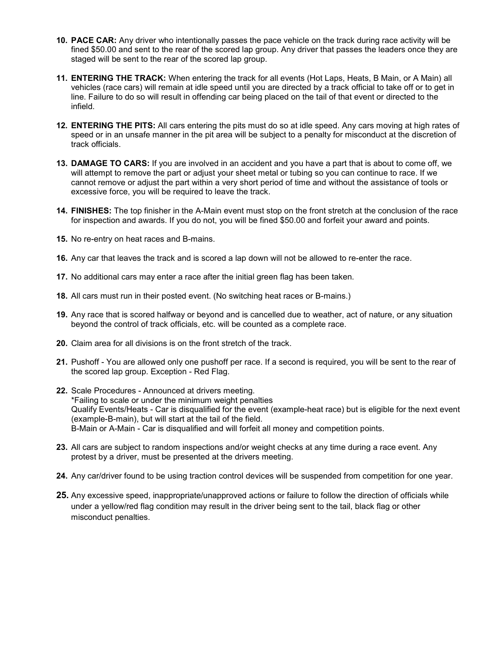- **10. PACE CAR:** Any driver who intentionally passes the pace vehicle on the track during race activity will be fined \$50.00 and sent to the rear of the scored lap group. Any driver that passes the leaders once they are staged will be sent to the rear of the scored lap group.
- **11. ENTERING THE TRACK:** When entering the track for all events (Hot Laps, Heats, B Main, or A Main) all vehicles (race cars) will remain at idle speed until you are directed by a track official to take off or to get in line. Failure to do so will result in offending car being placed on the tail of that event or directed to the infield.
- **12. ENTERING THE PITS:** All cars entering the pits must do so at idle speed. Any cars moving at high rates of speed or in an unsafe manner in the pit area will be subject to a penalty for misconduct at the discretion of track officials.
- **13. DAMAGE TO CARS:** If you are involved in an accident and you have a part that is about to come off, we will attempt to remove the part or adjust your sheet metal or tubing so you can continue to race. If we cannot remove or adjust the part within a very short period of time and without the assistance of tools or excessive force, you will be required to leave the track.
- **14. FINISHES:** The top finisher in the A-Main event must stop on the front stretch at the conclusion of the race for inspection and awards. If you do not, you will be fined \$50.00 and forfeit your award and points.
- **15.** No re-entry on heat races and B-mains.
- **16.** Any car that leaves the track and is scored a lap down will not be allowed to re-enter the race.
- **17.** No additional cars may enter a race after the initial green flag has been taken.
- **18.** All cars must run in their posted event. (No switching heat races or B-mains.)
- **19.** Any race that is scored halfway or beyond and is cancelled due to weather, act of nature, or any situation beyond the control of track officials, etc. will be counted as a complete race.
- **20.** Claim area for all divisions is on the front stretch of the track.
- **21.** Pushoff You are allowed only one pushoff per race. If a second is required, you will be sent to the rear of the scored lap group. Exception - Red Flag.
- **22.** Scale Procedures Announced at drivers meeting. \*Failing to scale or under the minimum weight penalties Qualify Events/Heats - Car is disqualified for the event (example-heat race) but is eligible for the next event (example-B-main), but will start at the tail of the field. B-Main or A-Main - Car is disqualified and will forfeit all money and competition points.
- **23.** All cars are subject to random inspections and/or weight checks at any time during a race event. Any protest by a driver, must be presented at the drivers meeting.
- **24.** Any car/driver found to be using traction control devices will be suspended from competition for one year.
- **25.** Any excessive speed, inappropriate/unapproved actions or failure to follow the direction of officials while under a yellow/red flag condition may result in the driver being sent to the tail, black flag or other misconduct penalties.